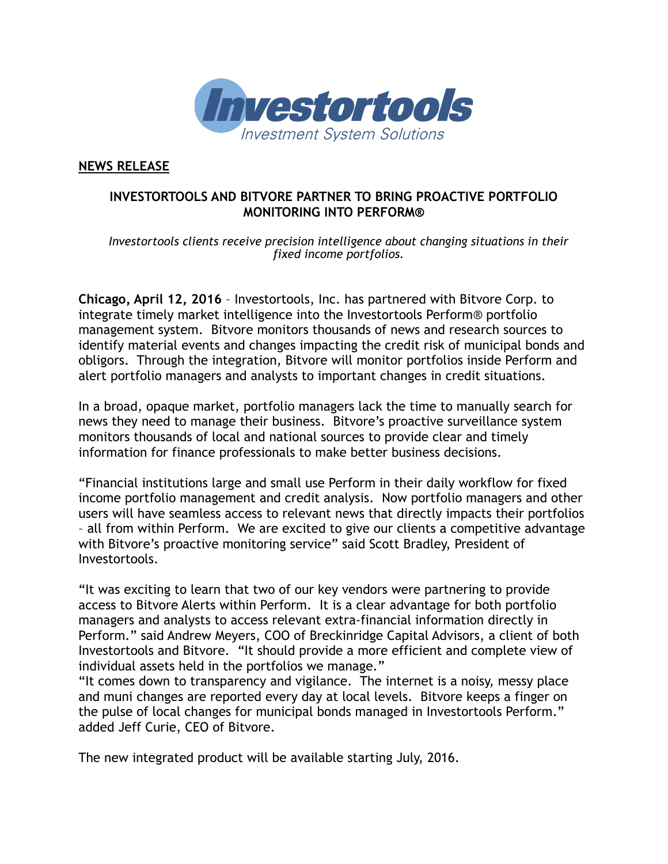

**NEWS RELEASE**

## **INVESTORTOOLS AND BITVORE PARTNER TO BRING PROACTIVE PORTFOLIO MONITORING INTO PERFORM®**

*Investortools clients receive precision intelligence about changing situations in their fixed income portfolios.*

**Chicago, April 12, 2016** – Investortools, Inc. has partnered with Bitvore Corp. to integrate timely market intelligence into the Investortools Perform® portfolio management system. Bitvore monitors thousands of news and research sources to identify material events and changes impacting the credit risk of municipal bonds and obligors. Through the integration, Bitvore will monitor portfolios inside Perform and alert portfolio managers and analysts to important changes in credit situations.

In a broad, opaque market, portfolio managers lack the time to manually search for news they need to manage their business. Bitvore's proactive surveillance system monitors thousands of local and national sources to provide clear and timely information for finance professionals to make better business decisions.

"Financial institutions large and small use Perform in their daily workflow for fixed income portfolio management and credit analysis. Now portfolio managers and other users will have seamless access to relevant news that directly impacts their portfolios – all from within Perform. We are excited to give our clients a competitive advantage with Bitvore's proactive monitoring service" said Scott Bradley, President of Investortools.

"It was exciting to learn that two of our key vendors were partnering to provide access to Bitvore Alerts within Perform. It is a clear advantage for both portfolio managers and analysts to access relevant extra-financial information directly in Perform." said Andrew Meyers, COO of Breckinridge Capital Advisors, a client of both Investortools and Bitvore. "It should provide a more efficient and complete view of individual assets held in the portfolios we manage."

"It comes down to transparency and vigilance. The internet is a noisy, messy place and muni changes are reported every day at local levels. Bitvore keeps a finger on the pulse of local changes for municipal bonds managed in Investortools Perform." added Jeff Curie, CEO of Bitvore.

The new integrated product will be available starting July, 2016.